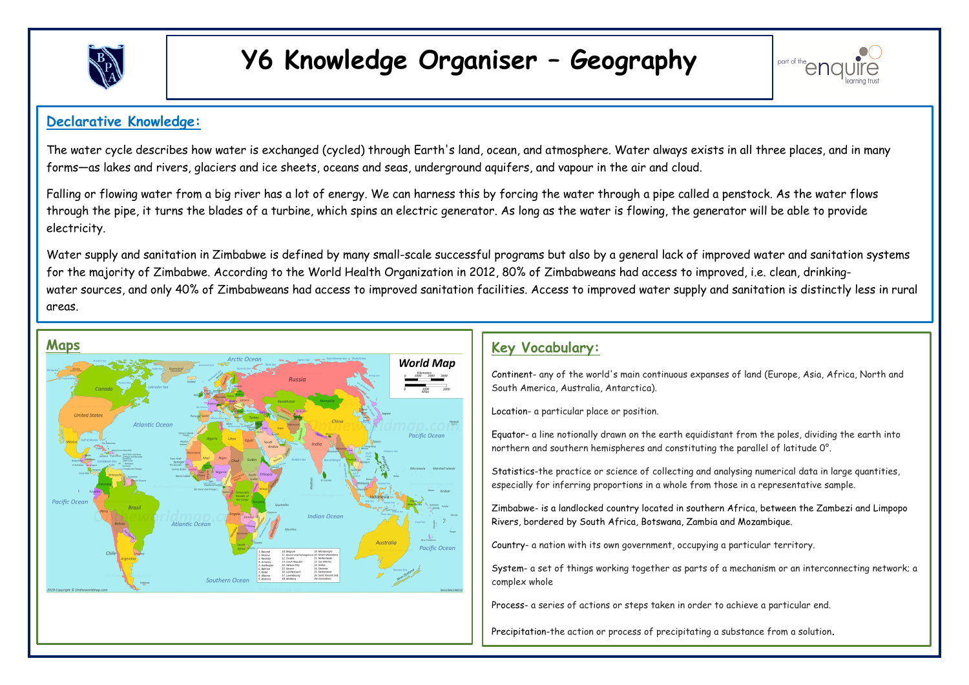

# **Y6 Knowledge Organiser – Geography**



#### **? Declarative Knowledge:**

The water cycle describes how water is exchanged (cycled) through Earth's land, ocean, and atmosphere. Water always exists in all three places, and in many forms—as lakes and rivers, glaciers and ice sheets, oceans and seas, underground aquifers, and vapour in the air and cloud.

Falling or flowing water from a big river has a lot of energy. We can harness this by forcing the water through a pipe called a penstock. As the water flows through the pipe, it turns the blades of a turbine, which spins an electric generator. As long as the water is flowing, the generator will be able to provide electricity.

Water supply and sanitation in Zimbabwe is defined by many small-scale successful programs but also by a general lack of improved water and sanitation systems for the majority of Zimbabwe. According to the World Health Organization in 2012, 80% of Zimbabweans had access to improved, i.e. clean, drinkingwater sources, and only 40% of Zimbabweans had access to improved sanitation facilities. Access to improved water supply and sanitation is distinctly less in rural areas.

1.



### **Key Vocabulary:**

Continent- any of the world's main continuous expanses of land (Europe, Asia, Africa, North and South America, Australia, Antarctica).

Location- a particular place or position.

Equator- a line notionally drawn on the earth equidistant from the poles, dividing the earth into northern and southern hemispheres and constituting the parallel of latitude 0°.

Statistics-the practice or science of collecting and analysing numerical data in large quantities, especially for inferring proportions in a whole from those in a representative sample.

Zimbabwe- is a landlocked country located in southern Africa, between the Zambezi and Limpopo Rivers, bordered by South Africa, Botswana, Zambia and Mozambique.

Country- a nation with its own government, occupying a particular territory.

System- a set of things working together as parts of a mechanism or an interconnecting network; a complex whole

Process- a series of actions or steps taken in order to achieve a particular end.

Precipitation-the action or process of precipitating a substance from a solution.